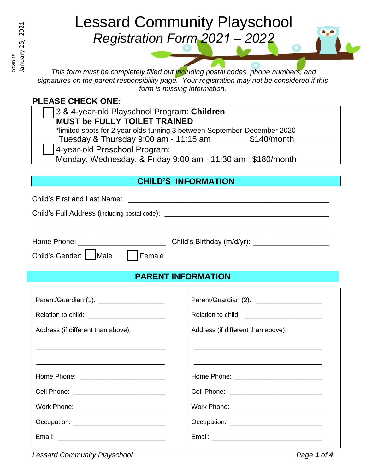COVID-19

# Lessard Community Playschool *Registration Form 2021 – 2022*

*This form must be completely filled out including postal codes, phone numbers, and signatures on the parent responsibility page. Your registration may not be considered if this form is missing information.*

### **PLEASE CHECK ONE:**

3 & 4-year-old Playschool Program: **Children MUST be FULLY TOILET TRAINED** \*limited spots for 2 year olds turning 3 between September-December 2020

Tuesday  $&$  Thursday 9:00 am - 11:15 am  $$140/m$ onth

4-year-old Preschool Program:

Monday, Wednesday, & Friday 9:00 am - 11:30 am \$180/month

## **CHILD'S INFORMATION**

Child's First and Last Name: \_\_\_\_\_\_\_\_\_\_\_\_\_\_\_\_\_\_\_\_\_\_\_\_\_\_\_\_\_\_\_\_\_\_\_\_\_\_\_\_\_\_\_\_\_\_\_\_\_\_

Child's Full Address (including postal code): \_\_\_\_\_\_\_\_\_\_\_\_\_\_\_\_\_\_\_\_\_\_\_\_\_\_\_\_\_\_\_\_\_\_

| Home Phone: |
|-------------|
|             |

Home Phone: \_\_\_\_\_\_\_\_\_\_\_\_\_\_\_\_\_\_\_\_\_\_ Child's Birthday (m/d/yr): \_\_\_\_\_\_\_\_\_\_\_\_\_\_\_\_\_\_\_ Child's Gender: | | Male | | Female

\_\_\_\_\_\_\_\_\_\_\_\_\_\_\_\_\_\_\_\_\_\_\_\_\_\_\_\_\_\_\_\_\_\_\_\_\_\_\_\_\_\_\_\_\_\_\_\_\_\_\_\_\_\_\_\_\_\_\_\_\_\_\_\_\_\_\_\_\_\_\_\_\_

# **PARENT INFORMATION**

| Parent/Guardian (1): _____________________     | Parent/Guardian (2): ____________________  |
|------------------------------------------------|--------------------------------------------|
| Relation to child: ___________________________ |                                            |
| Address (if different than above):             | Address (if different than above):         |
|                                                |                                            |
|                                                |                                            |
| Home Phone: __________________________         |                                            |
|                                                |                                            |
|                                                |                                            |
| Occupation: _______________________________    | Occupation: ______________________________ |
|                                                |                                            |
|                                                |                                            |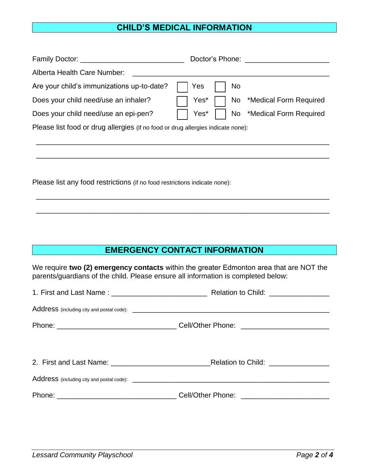#### **CHILD'S MEDICAL INFORMATION**

| Family Doctor: <u>_____________________________</u>                              | Doctor's Phone: Note that the state of the state of the state of the state of the state of the state of the state of the state of the state of the state of the state of the state of the state of the state of the state of t |
|----------------------------------------------------------------------------------|--------------------------------------------------------------------------------------------------------------------------------------------------------------------------------------------------------------------------------|
| Alberta Health Care Number:                                                      |                                                                                                                                                                                                                                |
| Are your child's immunizations up-to-date?                                       | Yes<br>N <sub>o</sub>                                                                                                                                                                                                          |
| Does your child need/use an inhaler?                                             | No *Medical Form Required<br>Yes*                                                                                                                                                                                              |
| Does your child need/use an epi-pen?                                             | Yes*<br>No *Medical Form Required                                                                                                                                                                                              |
| Please list food or drug allergies (if no food or drug allergies indicate none): |                                                                                                                                                                                                                                |
|                                                                                  |                                                                                                                                                                                                                                |
|                                                                                  |                                                                                                                                                                                                                                |
|                                                                                  |                                                                                                                                                                                                                                |
| Please list any food restrictions (if no food restrictions indicate none):       |                                                                                                                                                                                                                                |

#### **EMERGENCY CONTACT INFORMATION**

\_\_\_\_\_\_\_\_\_\_\_\_\_\_\_\_\_\_\_\_\_\_\_\_\_\_\_\_\_\_\_\_\_\_\_\_\_\_\_\_\_\_\_\_\_\_\_\_\_\_\_\_\_\_\_\_\_\_\_\_\_\_\_\_\_\_\_\_\_\_\_\_\_

\_\_\_\_\_\_\_\_\_\_\_\_\_\_\_\_\_\_\_\_\_\_\_\_\_\_\_\_\_\_\_\_\_\_\_\_\_\_\_\_\_\_\_\_\_\_\_\_\_\_\_\_\_\_\_\_\_\_\_\_\_\_\_\_\_\_\_\_\_\_\_\_\_

We require **two (2) emergency contacts** within the greater Edmonton area that are NOT the parents/guardians of the child. Please ensure all information is completed below: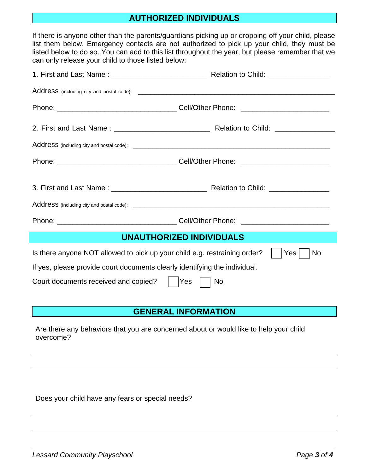#### **AUTHORIZED INDIVIDUALS**

If there is anyone other than the parents/guardians picking up or dropping off your child, please list them below. Emergency contacts are not authorized to pick up your child, they must be listed below to do so. You can add to this list throughout the year, but please remember that we can only release your child to those listed below:

| UNAUTHORIZED INDIVIDUALS                                                               |           |  |  |  |
|----------------------------------------------------------------------------------------|-----------|--|--|--|
| Is there anyone NOT allowed to pick up your child e.g. restraining order?<br>Yes<br>No |           |  |  |  |
| If yes, please provide court documents clearly identifying the individual.             |           |  |  |  |
| Court documents received and copied?                                                   | Yes<br>No |  |  |  |

#### **GENERAL INFORMATION**

Are there any behaviors that you are concerned about or would like to help your child overcome?

Does your child have any fears or special needs?